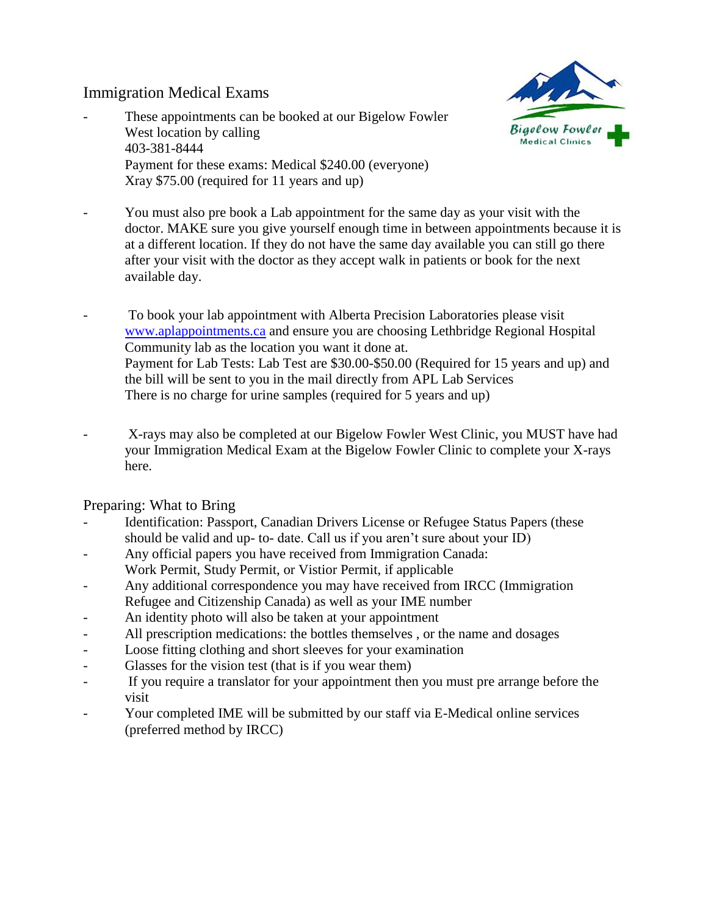## Immigration Medical Exams

These appointments can be booked at our Bigelow Fowler West location by calling 403-381-8444 Payment for these exams: Medical \$240.00 (everyone) Xray \$75.00 (required for 11 years and up)



- You must also pre book a Lab appointment for the same day as your visit with the doctor. MAKE sure you give yourself enough time in between appointments because it is at a different location. If they do not have the same day available you can still go there after your visit with the doctor as they accept walk in patients or book for the next available day.
- To book your lab appointment with Alberta Precision Laboratories please visit [www.aplappointments.ca](http://www.aplappointments.ca/) and ensure you are choosing Lethbridge Regional Hospital Community lab as the location you want it done at. Payment for Lab Tests: Lab Test are \$30.00-\$50.00 (Required for 15 years and up) and the bill will be sent to you in the mail directly from APL Lab Services There is no charge for urine samples (required for 5 years and up)
- X-rays may also be completed at our Bigelow Fowler West Clinic, you MUST have had your Immigration Medical Exam at the Bigelow Fowler Clinic to complete your X-rays here.

## Preparing: What to Bring

- Identification: Passport, Canadian Drivers License or Refugee Status Papers (these should be valid and up- to- date. Call us if you aren't sure about your ID)
- Any official papers you have received from Immigration Canada:
- Work Permit, Study Permit, or Vistior Permit, if applicable
- Any additional correspondence you may have received from IRCC (Immigration Refugee and Citizenship Canada) as well as your IME number
- An identity photo will also be taken at your appointment
- All prescription medications: the bottles themselves, or the name and dosages
- Loose fitting clothing and short sleeves for your examination
- Glasses for the vision test (that is if you wear them)
- If you require a translator for your appointment then you must pre arrange before the visit
- Your completed IME will be submitted by our staff via E-Medical online services (preferred method by IRCC)